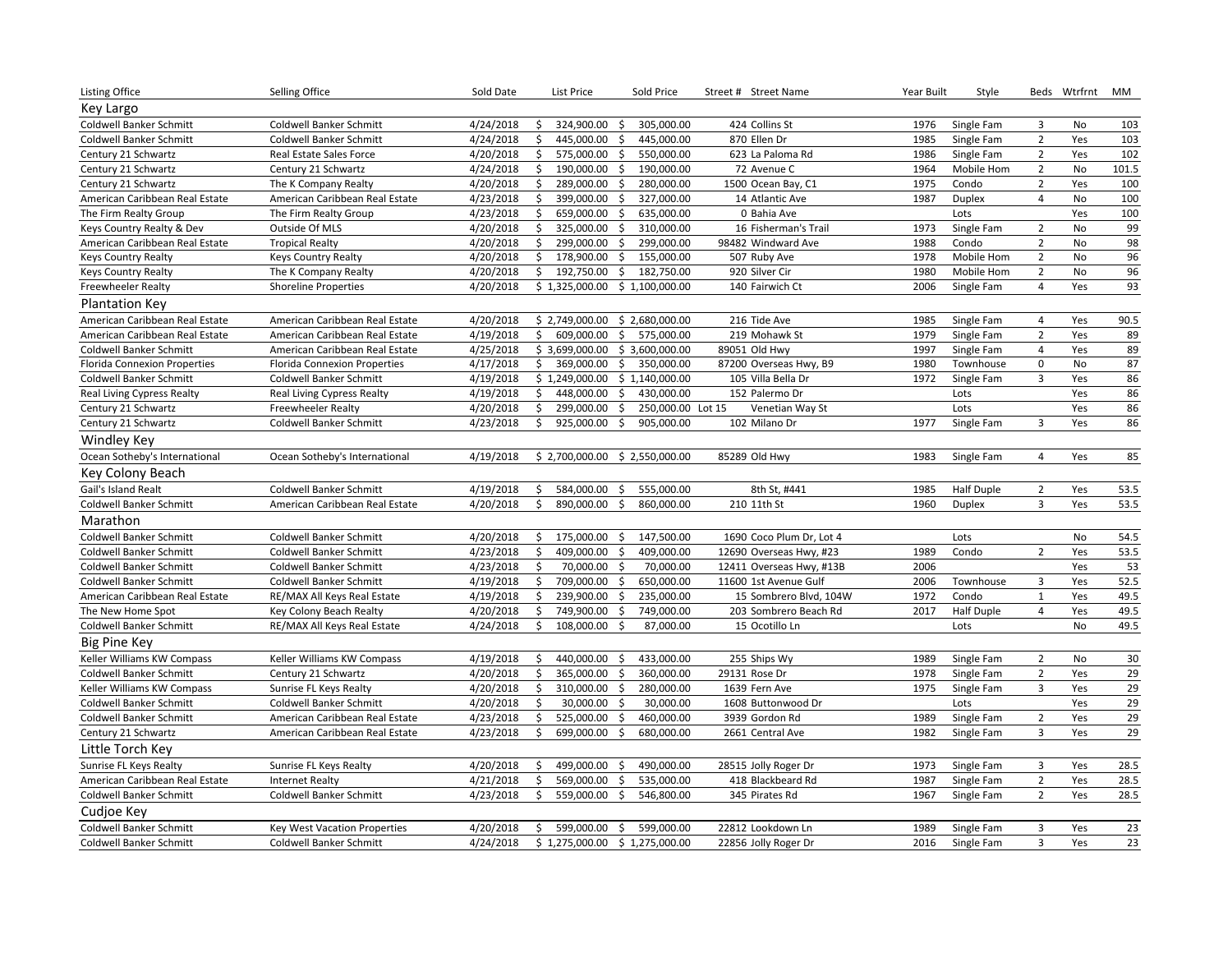| <b>Listing Office</b>               | Selling Office                      | Sold Date | List Price                       | Sold Price                         | Street # Street Name     | Year Built | Style             |                | Beds Wtrfrnt | MM              |
|-------------------------------------|-------------------------------------|-----------|----------------------------------|------------------------------------|--------------------------|------------|-------------------|----------------|--------------|-----------------|
| Key Largo                           |                                     |           |                                  |                                    |                          |            |                   |                |              |                 |
| <b>Coldwell Banker Schmitt</b>      | <b>Coldwell Banker Schmitt</b>      | 4/24/2018 | \$<br>324,900.00                 | \$<br>305,000.00                   | 424 Collins St           | 1976       | Single Fam        | 3              | <b>No</b>    | 103             |
| <b>Coldwell Banker Schmitt</b>      | Coldwell Banker Schmitt             | 4/24/2018 | \$<br>445,000.00                 | 445,000.00<br>\$                   | 870 Ellen Dr             | 1985       | Single Fam        | $\overline{2}$ | Yes          | 103             |
| Century 21 Schwartz                 | Real Estate Sales Force             | 4/20/2018 | \$<br>575,000.00                 | \$<br>550,000.00                   | 623 La Paloma Rd         | 1986       | Single Fam        | $\overline{2}$ | Yes          | 102             |
| Century 21 Schwartz                 | Century 21 Schwartz                 | 4/24/2018 | \$<br>190,000.00                 | \$<br>190,000.00                   | 72 Avenue C              | 1964       | Mobile Hom        | $\overline{2}$ | No           | 101.5           |
| Century 21 Schwartz                 | The K Company Realty                | 4/20/2018 | \$<br>289,000.00                 | $\ddot{\mathsf{S}}$<br>280,000.00  | 1500 Ocean Bay, C1       | 1975       | Condo             | $\overline{2}$ | Yes          | 100             |
| American Caribbean Real Estate      | American Caribbean Real Estate      | 4/23/2018 | 399,000.00<br>\$                 | $\frac{1}{2}$<br>327,000.00        | 14 Atlantic Ave          | 1987       | Duplex            | $\overline{4}$ | <b>No</b>    | 100             |
| The Firm Realty Group               | The Firm Realty Group               | 4/23/2018 | 659,000.00<br>\$                 | $\ddot{\mathsf{S}}$<br>635,000.00  | 0 Bahia Ave              |            | Lots              |                | Yes          | 100             |
| Keys Country Realty & Dev           | Outside Of MLS                      | 4/20/2018 | 325,000.00<br>\$                 | \$<br>310,000.00                   | 16 Fisherman's Trail     | 1973       | Single Fam        | $\overline{2}$ | No           | 99              |
| American Caribbean Real Estate      | <b>Tropical Realty</b>              | 4/20/2018 | \$<br>299,000.00                 | \$<br>299,000.00                   | 98482 Windward Ave       | 1988       | Condo             | $\overline{2}$ | <b>No</b>    | 98              |
| <b>Keys Country Realty</b>          | <b>Keys Country Realty</b>          | 4/20/2018 | \$<br>178,900.00                 | \$<br>155,000.00                   | 507 Ruby Ave             | 1978       | Mobile Hom        | $\overline{2}$ | <b>No</b>    | 96              |
| <b>Keys Country Realty</b>          | The K Company Realty                | 4/20/2018 | \$<br>192,750.00                 | 182,750.00<br>\$                   | 920 Silver Cir           | 1980       | Mobile Hom        | $\overline{2}$ | No           | 96              |
| Freewheeler Realty                  | <b>Shoreline Properties</b>         | 4/20/2018 | \$1,325,000.00                   | \$1,100,000.00                     | 140 Fairwich Ct          | 2006       | Single Fam        | $\overline{4}$ | Yes          | 93              |
| <b>Plantation Key</b>               |                                     |           |                                  |                                    |                          |            |                   |                |              |                 |
| American Caribbean Real Estate      | American Caribbean Real Estate      | 4/20/2018 | $$2,749,000.00$$ $$2,680,000.00$ |                                    | 216 Tide Ave             | 1985       | Single Fam        | $\overline{4}$ | Yes          | 90.5            |
| American Caribbean Real Estate      | American Caribbean Real Estate      | 4/19/2018 | \$                               | 609,000.00 \$ 575,000.00           | 219 Mohawk St            | 1979       | Single Fam        | $\overline{2}$ | Yes          | 89              |
| <b>Coldwell Banker Schmitt</b>      | American Caribbean Real Estate      | 4/25/2018 | \$3,699,000.00                   | \$3,600,000.00                     | 89051 Old Hwy            | 1997       | Single Fam        | $\overline{4}$ | Yes          | 89              |
| <b>Florida Connexion Properties</b> | <b>Florida Connexion Properties</b> | 4/17/2018 | \$<br>369,000.00                 | $\frac{1}{2}$<br>350,000.00        | 87200 Overseas Hwy, B9   | 1980       | Townhouse         | $\mathbf 0$    | No           | 87              |
| Coldwell Banker Schmitt             | Coldwell Banker Schmitt             | 4/19/2018 | \$1,249,000.00                   | \$1,140,000.00                     | 105 Villa Bella Dr       | 1972       | Single Fam        | $\overline{3}$ | Yes          | 86              |
| Real Living Cypress Realty          | Real Living Cypress Realty          | 4/19/2018 | \$<br>448,000.00                 | $\frac{1}{2}$<br>430,000.00        | 152 Palermo Dr           |            | Lots              |                | Yes          | 86              |
| Century 21 Schwartz                 | <b>Freewheeler Realty</b>           | 4/20/2018 | \$<br>299,000.00                 | $\frac{1}{2}$<br>250,000.00 Lot 15 | Venetian Way St          |            | Lots              |                | Yes          | 86              |
| Century 21 Schwartz                 | Coldwell Banker Schmitt             | 4/23/2018 | 925,000.00 \$<br>Ŝ.              | 905,000.00                         | 102 Milano Dr            | 1977       | Single Fam        | $\overline{3}$ | Yes          | 86              |
| Windley Key                         |                                     |           |                                  |                                    |                          |            |                   |                |              |                 |
| Ocean Sotheby's International       | Ocean Sotheby's International       | 4/19/2018 | \$2,700,000.00 \$2,550,000.00    |                                    | 85289 Old Hwy            | 1983       | Single Fam        | $\overline{4}$ | Yes          | 85              |
| Key Colony Beach                    |                                     |           |                                  |                                    |                          |            |                   |                |              |                 |
| Gail's Island Realt                 | Coldwell Banker Schmitt             | 4/19/2018 | \$<br>584,000.00                 | \$<br>555,000.00                   | 8th St, #441             | 1985       | <b>Half Duple</b> | $\overline{2}$ | Yes          | 53.5            |
| <b>Coldwell Banker Schmitt</b>      | American Caribbean Real Estate      | 4/20/2018 | \$<br>890,000.00                 | \$<br>860,000.00                   | 210 11th St              | 1960       | Duplex            | $\overline{3}$ | Yes          | 53.5            |
| Marathon                            |                                     |           |                                  |                                    |                          |            |                   |                |              |                 |
| <b>Coldwell Banker Schmitt</b>      | Coldwell Banker Schmitt             | 4/20/2018 | 175,000.00<br>\$                 | $\frac{1}{2}$<br>147,500.00        | 1690 Coco Plum Dr, Lot 4 |            | Lots              |                | No           | 54.5            |
| <b>Coldwell Banker Schmitt</b>      | Coldwell Banker Schmitt             | 4/23/2018 | 409,000.00<br>\$                 | $\ddot{\mathsf{s}}$<br>409,000.00  | 12690 Overseas Hwy, #23  | 1989       | Condo             | $\overline{2}$ | Yes          | 53.5            |
| <b>Coldwell Banker Schmitt</b>      | Coldwell Banker Schmitt             | 4/23/2018 | 70,000.00<br>\$                  | \$<br>70,000.00                    | 12411 Overseas Hwy, #13B | 2006       |                   |                | Yes          | 53              |
| <b>Coldwell Banker Schmitt</b>      | Coldwell Banker Schmitt             | 4/19/2018 | \$<br>709,000.00                 | \$<br>650,000.00                   | 11600 1st Avenue Gulf    | 2006       | Townhouse         | 3              | Yes          | 52.5            |
| American Caribbean Real Estate      | RE/MAX All Keys Real Estate         | 4/19/2018 | \$<br>239,900.00                 | $\ddot{\mathsf{S}}$<br>235,000.00  | 15 Sombrero Blvd, 104W   | 1972       | Condo             | $\mathbf{1}$   | Yes          | 49.5            |
| The New Home Spot                   | Key Colony Beach Realty             | 4/20/2018 | \$<br>749,900.00                 | 749,000.00<br>\$                   | 203 Sombrero Beach Rd    | 2017       | <b>Half Duple</b> | $\overline{4}$ | Yes          | 49.5            |
| <b>Coldwell Banker Schmitt</b>      | RE/MAX All Keys Real Estate         | 4/24/2018 | Ŝ.<br>108,000.00                 | -\$<br>87,000.00                   | 15 Ocotillo Ln           |            | Lots              |                | <b>No</b>    | 49.5            |
| <b>Big Pine Key</b>                 |                                     |           |                                  |                                    |                          |            |                   |                |              |                 |
| Keller Williams KW Compass          | Keller Williams KW Compass          | 4/19/2018 | 440,000.00 \$<br>\$              | 433,000.00                         | 255 Ships Wy             | 1989       | Single Fam        | $\overline{2}$ | No           | 30              |
| <b>Coldwell Banker Schmitt</b>      | Century 21 Schwartz                 | 4/20/2018 | \$<br>365,000.00                 | 360,000.00<br>\$                   | 29131 Rose Dr            | 1978       | Single Fam        | $\overline{2}$ | Yes          | 29              |
| Keller Williams KW Compass          | Sunrise FL Keys Realty              | 4/20/2018 | \$<br>310,000.00                 | \$<br>280,000.00                   | 1639 Fern Ave            | 1975       | Single Fam        | $\overline{3}$ | Yes          | 29              |
| <b>Coldwell Banker Schmitt</b>      | Coldwell Banker Schmitt             | 4/20/2018 | \$<br>30,000.00                  | \$<br>30,000.00                    | 1608 Buttonwood Dr       |            | Lots              |                | Yes          | 29              |
| <b>Coldwell Banker Schmitt</b>      | American Caribbean Real Estate      | 4/23/2018 | \$<br>525,000.00                 | \$<br>460,000.00                   | 3939 Gordon Rd           | 1989       | Single Fam        | $\overline{2}$ | Yes          | 29              |
| Century 21 Schwartz                 | American Caribbean Real Estate      | 4/23/2018 | Ś.<br>699,000.00                 | \$<br>680,000.00                   | 2661 Central Ave         | 1982       | Single Fam        | $\overline{3}$ | Yes          | 29              |
|                                     |                                     |           |                                  |                                    |                          |            |                   |                |              |                 |
| Little Torch Key                    |                                     |           |                                  |                                    |                          |            |                   |                |              |                 |
| Sunrise FL Keys Realty              | Sunrise FL Keys Realty              | 4/20/2018 | 499,000.00<br>\$                 | 490,000.00<br>\$                   | 28515 Jolly Roger Dr     | 1973       | Single Fam        | 3              | Yes          | 28.5            |
| American Caribbean Real Estate      | <b>Internet Realty</b>              | 4/21/2018 | \$<br>569.000.00                 | \$<br>535,000.00                   | 418 Blackbeard Rd        | 1987       | Single Fam        | $\overline{2}$ | Yes          | 28.5            |
| Coldwell Banker Schmitt             | Coldwell Banker Schmitt             | 4/23/2018 | 559,000.00<br>\$                 | 546,800.00<br>\$                   | 345 Pirates Rd           | 1967       | Single Fam        | $\overline{2}$ | Yes          | 28.5            |
| Cudioe Key                          |                                     |           |                                  |                                    |                          |            |                   |                |              |                 |
| <b>Coldwell Banker Schmitt</b>      | Key West Vacation Properties        | 4/20/2018 | \$<br>599,000.00 \$              | 599,000.00                         | 22812 Lookdown Ln        | 1989       | Single Fam        | 3              | Yes          | $\overline{23}$ |
| <b>Coldwell Banker Schmitt</b>      | Coldwell Banker Schmitt             | 4/24/2018 | $$1,275,000.00$$ $$1,275,000.00$ |                                    | 22856 Jolly Roger Dr     | 2016       | Single Fam        | $\overline{3}$ | Yes          | 23              |